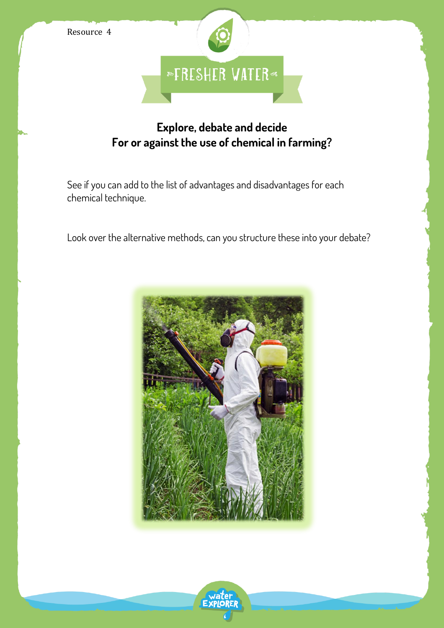



## **Explore, debate and decide For or against the use of chemical in farming?**

See if you can add to the list of advantages and disadvantages for each chemical technique.

Look over the alternative methods, can you structure these into your debate?